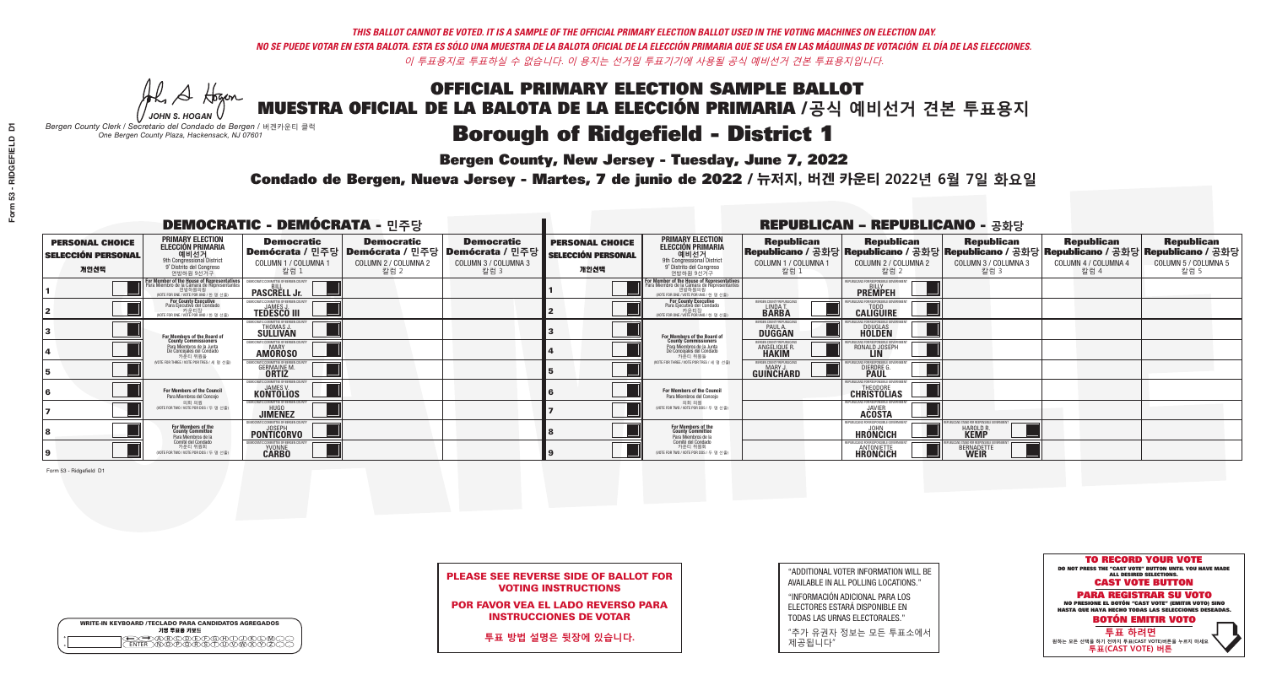**Bergen County, New Jersey - Tuesday, June 7, 2022** 

A Hogen *JOHN S. HOGAN*

| <b>WRITE-IN KEYBOARD /TECLADO PARA CANDIDATOS AGREGADOS</b><br>기명 투표용 키보드 |
|---------------------------------------------------------------------------|
| .)(B)C)(D)(E)(F)(G)(H)(T)(<br><u>እቅነሽነጅ የአገ</u>                           |

*Bergen County Clerk / Secretario del Condado de Bergen /* 버겐카운티 클럭 *One Bergen County Plaza, Hackensack, NJ 07601*



PLEASE SEE REVERSE SIDE OF BALLOT FOR VOTING INSTRUCTIONS

POR FAVOR VEA EL LADO REVERSO PARA INSTRUCCIONES DE VOTAR

**투표 방법 설명은 뒷장에 있습니다.**

"ADDITIONAL VOTER INFORMATION WILL BE AVAILABLE IN ALL POLLING LOCATIONS."

"INFORMACIÓN ADICIONAL PARA LOS ELECTORES ESTARÁ DISPONIBLE EN TODAS LAS URNAS ELECTORALES."

"추가 유권자 정보는 모든 투표소에서 제공됩니다"

Condado de Bergen, Nueva Jersey - Martes, 7 de junio de 2022 / 뉴저지, 버겐 카운티 2022년 6월 7일 화요일 *One Bergen County Plaza, Hackensack, NJ 07601*

|                                                             |                                                                                                                                               | <b>DEMOCRATIC - DEMÓCRATA - 민주당</b>                                  |                                                   |                                                                                                              |                                                             | <b>REPUBLICAN - REPUBLICANO - 공화당</b>                                                                                                                 |                                                                   |                                                                       |                                                                                                                                                |                                                   |                                                   |
|-------------------------------------------------------------|-----------------------------------------------------------------------------------------------------------------------------------------------|----------------------------------------------------------------------|---------------------------------------------------|--------------------------------------------------------------------------------------------------------------|-------------------------------------------------------------|-------------------------------------------------------------------------------------------------------------------------------------------------------|-------------------------------------------------------------------|-----------------------------------------------------------------------|------------------------------------------------------------------------------------------------------------------------------------------------|---------------------------------------------------|---------------------------------------------------|
| <b>PERSONAL CHOICE</b><br><b>SELECCIÓN PERSONAL</b><br>개인선택 | <b>PRIMARY ELECTION</b><br><b>ELECCIÓN PRIMARIA</b><br>예비선거<br>애비선거<br>9° Distrito del Congreso<br>연방하원 9선거구                                  | <b>Democratic</b><br>COLUMN 1 / COLUMNA ·<br>칼럼 :                    | <b>Democratic</b><br>COLUMN 2 / COLUMNA 2<br>칼럼 2 | <b>Democratic</b><br>  Demócrata / 민주당   Demócrata / 민주당   Demócrata / 민주당  <br>COLUMN 3 / COLUMNA 3<br>칼럼 3 | <b>PERSONAL CHOICE</b><br><b>SELECCIÓN PERSONAL</b><br>개인선택 | <b>PRIMARY ELECTION</b><br>ELECCIÓN PRIMARIA<br>예비선거<br>9th Congressional District<br>9° Distrito del Congreso<br>연방하워 9선거구                           | <b>Republican</b><br>COLUMN 1 / COLUMNA 1<br>_ 칼럼 1               | <b>Republican</b><br>COLUMN 2 / COLUMNA 2<br>·칼럼 2                    | <b>Republican</b><br>Republicano / 공화당 Republicano / 공화당 Republicano / 공화당 Republicano / 공화당 Republicano / 공화당<br>COLUMN 3 / COLUMNA 3<br>칼럼 3 | <b>Republican</b><br>COLUMN 4 / COLUMNA 4<br>칼럼 4 | <b>Republican</b><br>COLUMN 5 / COLUMNA 5<br>칼럼 5 |
|                                                             | For Member of the House of Representatives<br>Para Miembro de la Cámara de Representantes<br>연방하원의원<br>(VOTE FOR ONE / VOTE POR UNO / 한 명 선출) | <b>PASCRELL Jr.</b>                                                  |                                                   |                                                                                                              |                                                             | <b>For Member of the House of Representatives<br/>Para Miembro de la Cámara de Representantes</b><br>연방하원의원<br>(VOTE FOR ONE / VOTE POR UNO / 한 명 선출) |                                                                   | PUBLICANS FOR RESPONSIBLE GOVERNMEN<br><b>PREMPEH</b>                 |                                                                                                                                                |                                                   |                                                   |
|                                                             | <b>For County Executive</b><br>Para Ejecutivo del Condado<br>가운티장<br>(VOTE FOR ONE / VOTE POR UNO / 한 명 선출)                                   | EMOCRATIC COMMITTEE OF BERGEN COUNTY<br><b>TEDESCO III</b>           |                                                   |                                                                                                              |                                                             | <b>For County Executive</b><br>Para Ejecutivo del Condado<br>│ 카운티장<br>(VOTE FOR ONE / VOTE POR UNO / 한 명 선출)                                         | BERGEN COUNTY REPUBLICAN<br>LINDA T.                              | <b>CALIGUIRE</b>                                                      |                                                                                                                                                |                                                   |                                                   |
|                                                             | For Members of the Board of<br>County Commissioners                                                                                           | ICRATIC COMMITTEE OF RERGEN C<br>THOMAS J.                           |                                                   |                                                                                                              |                                                             | For Members of the Board of<br>County Commissioners                                                                                                   | <b>FRGEN COUNTY REPUBLICAL</b><br><b>PAUL A.</b><br><b>DUGGAN</b> | <b>DOUGLAS</b><br><b>HOLDEN</b>                                       |                                                                                                                                                |                                                   |                                                   |
|                                                             | Para Miembros de la Junta<br>De Concejales del Condado<br>카우티 위원들                                                                             | MOCRATIC COMMITTEE OF BERGEN COUNTY<br><b>MARY</b><br><b>AMOROSO</b> |                                                   |                                                                                                              |                                                             | Para Miembros de la Junta<br>De Concejales del Condado<br>카우티 위원들                                                                                     | <b>RGEN COUNTY REPUBLICAN</b><br>ANGELIQUE R                      | RONALD JOSEPH                                                         |                                                                                                                                                |                                                   |                                                   |
|                                                             | NOTE FOR THREE / VOTE POR TRES / 세 명 선출)                                                                                                      | IATIC COMMITTEE OF RERGEN<br><b>GERMAINE M</b><br><b>ORTIZ</b>       |                                                   |                                                                                                              |                                                             | NOTE FOR THREE / VOTE POR TRES / 세 명 선출                                                                                                               | ERGEN COUNTY REPUBLICANS<br>MARY.<br><b>GUINCHARD</b>             | <b>DIERDRE L</b>                                                      |                                                                                                                                                |                                                   |                                                   |
|                                                             | For Members of the Council<br>Para Miembros del Conceio                                                                                       | <b>KONTOLIOS</b>                                                     |                                                   |                                                                                                              |                                                             | <b>For Members of the Council</b><br>Para Miembros del Conceio                                                                                        |                                                                   | <b>CHRISTOLIAS</b>                                                    |                                                                                                                                                |                                                   |                                                   |
|                                                             | 의회 의원<br>NOTE FOR TWO / VOTE POR DOS / 두 명 선출)                                                                                                | MOCRATIC COMMITTEE OF RERGEN COUN<br><b>JIMENEZ</b>                  |                                                   |                                                                                                              |                                                             | 의회 의원<br>WOTE FOR TWO / VOTE POR DOS / 두 명 선출)                                                                                                        |                                                                   | EPUBLICANS FOR RESPONSIBLE GOVERNMEN<br><b>ACOSTA</b>                 |                                                                                                                                                |                                                   |                                                   |
|                                                             | For Members of the<br>County Committee<br>Para Miembros de la                                                                                 | JOSEPH<br><b>PONTICORVO</b>                                          |                                                   |                                                                                                              |                                                             | For Members of the<br>County Committee<br>Para Miembros de la<br>Comité del Condado                                                                   |                                                                   | REPUBLICANS FOR RESPONSIBLE<br><b>HRONCICH</b>                        | <b>HAROLD R</b><br><b>KEMP</b>                                                                                                                 |                                                   |                                                   |
|                                                             | Comité del Condado<br>카운티 위원회<br>VOTE FOR TWO / VOTE POR DOS / 두 명 선출)                                                                        | MOCRATIC COMMITTEE OF BERGEN COUNTY<br><b>YVONNE</b><br><b>CARBO</b> |                                                   |                                                                                                              |                                                             | 카운티 위원회<br>NOTE FOR TWO / VOTE POR DOS / 두 명 선출)                                                                                                      |                                                                   | PUBLICANS FOR RESPONSIBLE GOVI<br><b>ANTONIETT</b><br><b>HRONCICH</b> | BERNADETT                                                                                                                                      |                                                   |                                                   |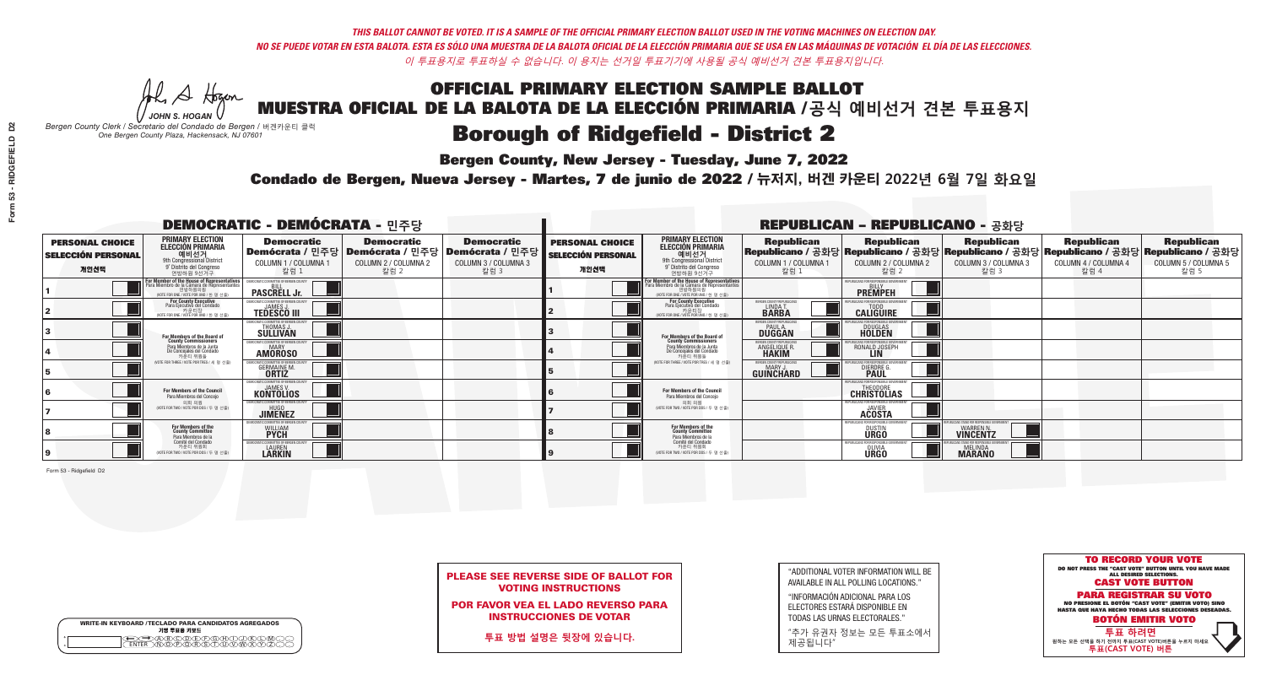A Hogen

**Bergen County, New Jersey - Tuesday, June 7, 2022** 

| <b>WRITE-IN KEYBOARD /TECLADO PARA CANDIDATOS AGREGADOS</b><br>기명 투표용 키보드 |
|---------------------------------------------------------------------------|
| ABODE/POH/L<br>\ <b>Ñ@@@@</b> @@@@                                        |

*JOHN S. HOGAN Bergen County Clerk / Secretario del Condado de Bergen /* 버겐카운티 클럭 *One Bergen County Plaza, Hackensack, NJ 07601*



PLEASE SEE REVERSE SIDE OF BALLOT FOR VOTING INSTRUCTIONS

POR FAVOR VEA EL LADO REVERSO PARA INSTRUCCIONES DE VOTAR

**투표 방법 설명은 뒷장에 있습니다.**

"ADDITIONAL VOTER INFORMATION WILL BE AVAILABLE IN ALL POLLING LOCATIONS."

"INFORMACIÓN ADICIONAL PARA LOS ELECTORES ESTARÁ DISPONIBLE EN TODAS LAS URNAS ELECTORALES."

"추가 유권자 정보는 모든 투표소에서 제공됩니다"

Condado de Bergen, Nueva Jersey - Martes, 7 de junio de 2022 / 뉴저지, 버겐 카운티 2022년 6월 7일 화요일 *One Bergen County Plaza, Hackensack, NJ 07601*

|                                                             |                                                                                                                                               | <b>DEMOCRATIC - DEMÓCRATA - 민주당</b>                         |                                                   |                                                                                                              |                                                             | <b>REPUBLICAN - REPUBLICANO - 공화당</b>                                                                                                                 |                                                           |                                                        |                                                                                                                                                |                                                   |                                                   |
|-------------------------------------------------------------|-----------------------------------------------------------------------------------------------------------------------------------------------|-------------------------------------------------------------|---------------------------------------------------|--------------------------------------------------------------------------------------------------------------|-------------------------------------------------------------|-------------------------------------------------------------------------------------------------------------------------------------------------------|-----------------------------------------------------------|--------------------------------------------------------|------------------------------------------------------------------------------------------------------------------------------------------------|---------------------------------------------------|---------------------------------------------------|
| <b>PERSONAL CHOICE</b><br><b>SELECCIÓN PERSONAL</b><br>개인선택 | <b>PRIMARY ELECTION</b><br><b>ELECCIÓN PRIMARIA</b><br>예비선거<br>애비선거<br>9° Distrito del Congreso<br>연방하원 9선거구                                  | <b>Democratic</b><br>COLUMN 1 / COLUMNA ·<br>칼럼 :           | <b>Democratic</b><br>COLUMN 2 / COLUMNA 2<br>칼럼 2 | <b>Democratic</b><br>  Demócrata / 민주당   Demócrata / 민주당   Demócrata / 민주당  <br>COLUMN 3 / COLUMNA 3<br>칼럼 3 | <b>PERSONAL CHOICE</b><br><b>SELECCIÓN PERSONAL</b><br>개인선택 | <b>PRIMARY ELECTION</b><br>ELECCIÓN PRIMARIA<br>9th Congressional District<br>9° Distrito del Congreso<br>연방하워 9선거구                                   | <b>Republican</b><br>COLUMN 1 / COLUMNA 1<br>칼럼 1         | <b>Republican</b><br>COLUMN 2 / COLUMNA 2<br>·칼럼 2     | <b>Republican</b><br>Republicano / 공화당 Republicano / 공화당 Republicano / 공화당 Republicano / 공화당 Republicano / 공화당<br>COLUMN 3 / COLUMNA 3<br>칼럼 3 | <b>Republican</b><br>COLUMN 4 / COLUMNA 4<br>칼럼 4 | <b>Republican</b><br>COLUMN 5 / COLUMNA 5<br>칼럼 5 |
|                                                             | For Member of the House of Representatives<br>Para Miembro de la Cámara de Representantes<br>연방하원의원<br>(VOTE FOR ONE / VOTE POR UNO / 한 명 선출) | EMOCRATIC COMMITTEE OF BERGEN COUNT<br><b>PASCRELL Jr.</b>  |                                                   |                                                                                                              |                                                             | <b>For Member of the House of Representatives<br/>Para Miembro de la Cámara de Representantes</b><br>연방하원의원<br>(VOTE FOR ONE / VOTE POR UNO / 한 명 선출) |                                                           | EPUBLICANS FOR RESPONSIBLE GOVERNMEN<br><b>PREMPEH</b> |                                                                                                                                                |                                                   |                                                   |
|                                                             | <b>For County Executive</b><br>Para Ejecutivo del Condado<br>기운티장<br>(VOTE FOR ONE / VOTE POR UNO / 한 명 선출)                                   | EMOCRATIC COMMITTEE OF BERGEN COUNTY<br><b>TEDESCO III</b>  |                                                   |                                                                                                              |                                                             | For County Executive<br>Para Ejecutivo del Condado<br>, 카운티장<br>(VOTE FOR ONE / VOTE POR UNO / 한 명 선출                                                 | BERGEN COUNTY REPUBLICANS<br>LINDAT.                      | <b>CALIGUIRE</b>                                       |                                                                                                                                                |                                                   |                                                   |
|                                                             | For Members of the Board of<br>County Commissioners                                                                                           | MOCRATIC COMMITTEE OF BERGEN CI<br>THOMAS J.                |                                                   |                                                                                                              |                                                             | For Members of the Board of<br>County Commissioners                                                                                                   | RGEN COUNTY REPUBLICAN<br><b>PAUL A.</b><br><b>DUGGAN</b> | <b>DOUGLAS</b><br><b>HOLDEN</b>                        |                                                                                                                                                |                                                   |                                                   |
|                                                             | Para Miembros de la Junta<br>De Concejales del Condado<br>카우티 위원들                                                                             | MOCRATIC COMMITTEE OF BERGEN COUNT:<br><b>AMOROSO</b>       |                                                   |                                                                                                              |                                                             | Para Miembros de la Junta<br>De Concejales del Condado<br>카우티 위원들                                                                                     | <b>RGEN COUNTY REPUBLICAN</b><br><b>ANGELIQUE F</b>       | RONALD JOSEPH                                          |                                                                                                                                                |                                                   |                                                   |
|                                                             | NOTE FOR THREE / VOTE POR TRES / 세 명 선출)                                                                                                      | <b>GERMAINE M</b><br><b>ORTIZ</b>                           |                                                   |                                                                                                              |                                                             | NOTE FOR THREE / VOTE POR TRES / 세 명 선출                                                                                                               | ERGEN COUNTY REPUBLICANS<br>GUINCHARD                     | <b>DIERDRE</b>                                         |                                                                                                                                                |                                                   |                                                   |
|                                                             | For Members of the Council<br>Para Miembros del Conceio                                                                                       | <b>KONTOLIOS</b>                                            |                                                   |                                                                                                              |                                                             | <b>For Members of the Council</b><br>Para Miembros del Concejo                                                                                        |                                                           | <b>CHRISTOLIAS</b>                                     |                                                                                                                                                |                                                   |                                                   |
|                                                             | 의회 의원<br>NOTE FOR TWO / VOTE POR DOS / 두 명 선출)                                                                                                | MOCRATIC COMMITTEE OF BERGEN COUNT:<br><b>JIMENEZ</b>       |                                                   |                                                                                                              |                                                             | 의회 의원<br>WOTE FOR TWO / VOTE POR DOS / 두 명 선출)                                                                                                        |                                                           | EPUBLICANS FOR RESPONSIBLE GOVERNMEN<br><b>ACOSTA</b>  |                                                                                                                                                |                                                   |                                                   |
|                                                             | For Members of the<br>County Committee<br>Para Miembros de la<br>Comité del Condado                                                           | TIC COMMITTEE OF BERGEN CI<br><b>WILLIAM</b><br><b>PYCH</b> |                                                   |                                                                                                              |                                                             | For Members of the<br>County Committee<br>Para Miembros de la<br>Comité del Condado                                                                   |                                                           | FPUBLICANS FOR RESPONSIBLE<br><b>DUSTIN</b>            | <b>WARREN N.</b><br><b>VINCENTZ</b>                                                                                                            |                                                   |                                                   |
|                                                             | 카운티 위원회<br>VOTE FOR TWO / VOTE POR DOS / 두 명 선출)                                                                                              | CRATIC COMMITTEE OF BERGEN COUNT<br><b>LAUREN</b>           |                                                   |                                                                                                              |                                                             | 카운티 위원회<br>WOTE FOR TWO / VOTE POR DOS / 두 명 선출)                                                                                                      |                                                           | REPUBLICANS FOR RESPONSIBLE GO!<br><b>URGO</b>         | <b>MELINDA</b><br><b>MARANO</b>                                                                                                                |                                                   |                                                   |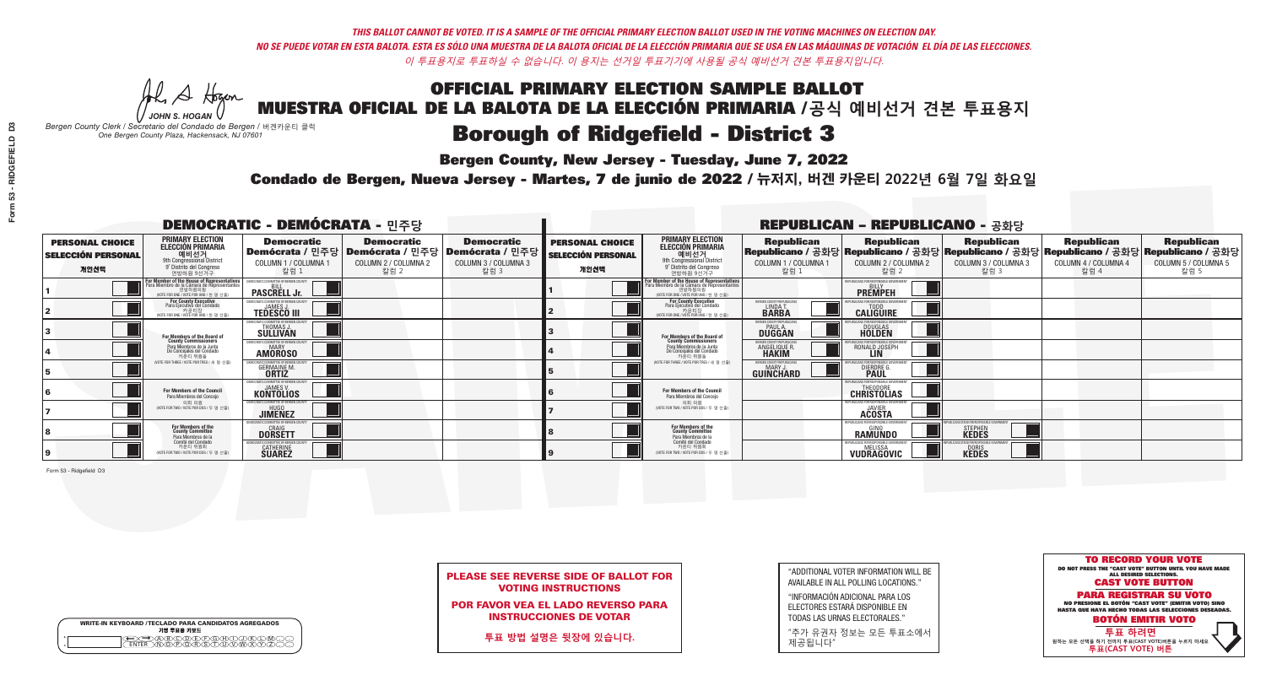A Hogen

**Bergen County, New Jersey - Tuesday, June 7, 2022** 

| <b>WRITE-IN KEYBOARD /TECLADO PARA CANDIDATOS AGREGADOS</b><br>기명 투표용 키보드 |
|---------------------------------------------------------------------------|
| .)(B)C)(D)(E)(F)(G)(H)(T)(<br><u>እቅነሽነጅ የአገ</u>                           |

*JOHN S. HOGAN Bergen County Clerk / Secretario del Condado de Bergen /* 버겐카운티 클럭 *One Bergen County Plaza, Hackensack, NJ 07601*

> TO RECORD YOUR VOTE DO NOT PRESS THE "CAST VOTE" BUTTON UNTIL YOU HAVE MADE ALL DESIRED SELECTIONS. CAST VOTE BUTTON PARA REGISTRAR SU VOTO NO PRESIONE EL BOTÓN "CAST VOTE" (EMITIR VOTO) SINO HASTA QUE HAYA HECHO TODAS LAS SELECCIONES DESEADAS. BOTÓN EMITIR VOTO **투표 하려면 원하는 모든 선택을 하기 전까지 투표(CAST VOTE)버튼을 누르지 마세요 투표(CAST VOTE) 버튼**

PLEASE SEE REVERSE SIDE OF BALLOT FOR VOTING INSTRUCTIONS

POR FAVOR VEA EL LADO REVERSO PARA INSTRUCCIONES DE VOTAR

**투표 방법 설명은 뒷장에 있습니다.**

"ADDITIONAL VOTER INFORMATION WILL BE AVAILABLE IN ALL POLLING LOCATIONS."

"INFORMACIÓN ADICIONAL PARA LOS ELECTORES ESTARÁ DISPONIBLE EN TODAS LAS URNAS ELECTORALES."

"추가 유권자 정보는 모든 투표소에서 제공됩니다"

Condado de Bergen, Nueva Jersey - Martes, 7 de junio de 2022 / 뉴저지, 버겐 카운티 2022년 6월 7일 화요일 *One Bergen County Plaza, Hackensack, NJ 07601*

|                                                             |                                                                                                                                               | <b>DEMOCRATIC - DEMÓCRATA - 민주당</b>                                                   |                                                   |                                                                          | <b>REPUBLICAN - REPUBLICANO - 공화당</b>                       |                                                                                                                                              |                                                           |                                                        |                                                                                                                                                |                                                   |                                                   |
|-------------------------------------------------------------|-----------------------------------------------------------------------------------------------------------------------------------------------|---------------------------------------------------------------------------------------|---------------------------------------------------|--------------------------------------------------------------------------|-------------------------------------------------------------|----------------------------------------------------------------------------------------------------------------------------------------------|-----------------------------------------------------------|--------------------------------------------------------|------------------------------------------------------------------------------------------------------------------------------------------------|---------------------------------------------------|---------------------------------------------------|
| <b>PERSONAL CHOICE</b><br><b>SELECCIÓN PERSONAL</b><br>개인선택 | <b>PRIMARY ELECTION</b><br><b>ELECCIÓN PRIMARIA</b><br>예비선거<br>애 Gongressional District<br>9° Distrito del Congreso<br>연방하원 9선거구              | <b>Democratic</b><br>│Demócrata / 민주당│Demócrata / 민주당<br>COLUMN 1 / COLUMNA 1<br>칼럼 1 | <b>Democratic</b><br>COLUMN 2 / COLUMNA 2<br>칼럼 2 | <b>Democratic</b><br>; Demócrata / 민주당 /<br>COLUMN 3 / COLUMNA 3<br>칼럼 3 | <b>PERSONAL CHOICE</b><br><b>SELECCIÓN PERSONAL</b><br>개인선택 | <b>PRIMARY ELECTION</b><br>ELECCIÓN PRIMARIA<br>9th Congressional District<br>9° Distrito del Congreso<br>연방하원 9선거구                          | <b>Republican</b><br>COLUMN 1 / COLUMNA 1<br>칼럼 1         | <b>Republican</b><br>COLUMN 2 / COLUMNA 2<br>칼럼 2      | <b>Republican</b><br>Republicano / 공화당 Republicano / 공화당 Republicano / 공화당 Republicano / 공화당 Republicano / 공화당<br>COLUMN 3 / COLUMNA 3<br>칼럼 3 | <b>Republican</b><br>COLUMN 4 / COLUMNA 4<br>칼럼 4 | <b>Republican</b><br>COLUMN 5 / COLUMNA 5<br>칼럼 5 |
|                                                             | For Member of the House of Representatives<br>Para Miembro de la Cámara de Representantes<br>연방하원의원<br>(VOTE FOR ONE / VOTE POR UNO / 한 명 선출) | DEMOCRATIC COMMITTEE OF BERGEN COUNT<br><b>PASCRELL Jr.</b>                           |                                                   |                                                                          |                                                             | For Member of the House of Representatives<br>Para Miembro de la Cámara de Representantes<br>연방하원의원<br>(VOTE FOR ONE / VOTE POR UNO / 한 명 선출 |                                                           | EPUBLICANS FOR RESPONSIBLE GOVERNMEN<br><b>PREMPEH</b> |                                                                                                                                                |                                                   |                                                   |
|                                                             | <b>For County Executive</b><br>Para Ejecutivo del Condado<br>7 카운티장<br>(VOTE FOR ONE / VOTE POR UNO / 한 명 선출)                                 | DEMOCRATIC COMMITTEE OF BERGEN COUNTY<br><b>TEDESCO III</b>                           |                                                   |                                                                          |                                                             | For County Executive<br>Para Ejecutivo del Condado<br>, 카운티장<br>(VOTE FOR ONE / VOTE POR UNO / 한 명 선출                                        | BERGEN COUNTY REPUBLICANS<br>LINDAT.                      | <b>CALIGUIRE</b>                                       |                                                                                                                                                |                                                   |                                                   |
|                                                             | For Members of the Board of<br>County Commissioners                                                                                           | MOCRATIC COMMITTEE OF BERGEN COUN<br><b>THOMAS J.</b><br><b>SULLIVAN</b>              |                                                   |                                                                          |                                                             | For Members of the Board of<br>County Commissioners                                                                                          | RGEN COUNTY REPUBLICAI<br><b>PAUL A.</b><br><b>DUGGAN</b> | <b>DOUGLAS</b>                                         |                                                                                                                                                |                                                   |                                                   |
|                                                             | Para Miembros de la Junta<br>De Concejales del Condado<br>카우티 위원들                                                                             | MOCRATIC COMMITTEE OF BEBGEN COUNT<br><b>MARY</b><br><b>AMOROSO</b>                   |                                                   |                                                                          |                                                             | Para Miembros de la Junta<br>De Concejales del Condado<br>카운티 위원들                                                                            | <b>RGEN COUNTY REPUBLICAN</b><br><b>ANGELIQUE F</b>       | RONALD JOSEPH                                          |                                                                                                                                                |                                                   |                                                   |
|                                                             | NOTE FOR THREE / VOTE POR TRES / 세 명 서축)                                                                                                      | <b>GERMAINE M</b><br><b>ORTIZ</b>                                                     |                                                   |                                                                          |                                                             | NOTE FOR THREE / VOTE POR TRES / 세 명 선출                                                                                                      | ERGEN COUNTY REPUBLICAN:<br>GUINCHARD                     | <b>DIERDRE</b>                                         |                                                                                                                                                |                                                   |                                                   |
|                                                             | <b>For Members of the Council</b><br>Para Miembros del Conceio                                                                                | <b>KONTOLIOS</b>                                                                      |                                                   |                                                                          |                                                             | <b>For Members of the Council</b><br>Para Miembros del Conceio                                                                               |                                                           | <b>CHRISTOLIAS</b>                                     |                                                                                                                                                |                                                   |                                                   |
|                                                             | 의회 의원<br>NOTE FOR TWO / VOTE POR DOS / 두 명 선출)                                                                                                | EMOCRATIC COMMITTEE OF BERGEN COUNT<br><b>JIMENEZ</b>                                 |                                                   |                                                                          |                                                             | 의회 의원<br>WOTE FOR TWO / VOTE POR DOS / 두 명 선출)                                                                                               |                                                           | PUBLICANS FOR RESPONSIBLE GOVERNMEN<br><b>ACOSTA</b>   |                                                                                                                                                |                                                   |                                                   |
|                                                             | For Members of the<br>County Committee<br>Para Miembros de la<br>Comité del Condado                                                           | IOCRATIC COMMITTEE OF BERGEN COUNT<br>CRAIG<br><b>DORSETT</b>                         |                                                   |                                                                          |                                                             | For Members of the<br>County Committee<br>Para Miembros de la<br>Comité del Condado                                                          |                                                           | REPUBLICANS FOR RESPONSIBLE GI<br><b>RAMUNDO</b>       | <b>STEPHEN</b>                                                                                                                                 |                                                   |                                                   |
|                                                             | 카운티 위원회<br>(VOTE FOR TWO / VOTE POR DOS / 두 명 선출)                                                                                             | <b>CATHERINE</b><br><b>SUAREZ</b>                                                     |                                                   |                                                                          |                                                             | 카운티 위원회<br>VOTE FOR TWO / VOTE POR DOS / 두 명 선출)                                                                                             |                                                           | PUBLICANS FOR RESPONSIBLE GOVERNM<br><b>VUDRAGOVIC</b> | DORIS<br><b>KEDES</b>                                                                                                                          |                                                   |                                                   |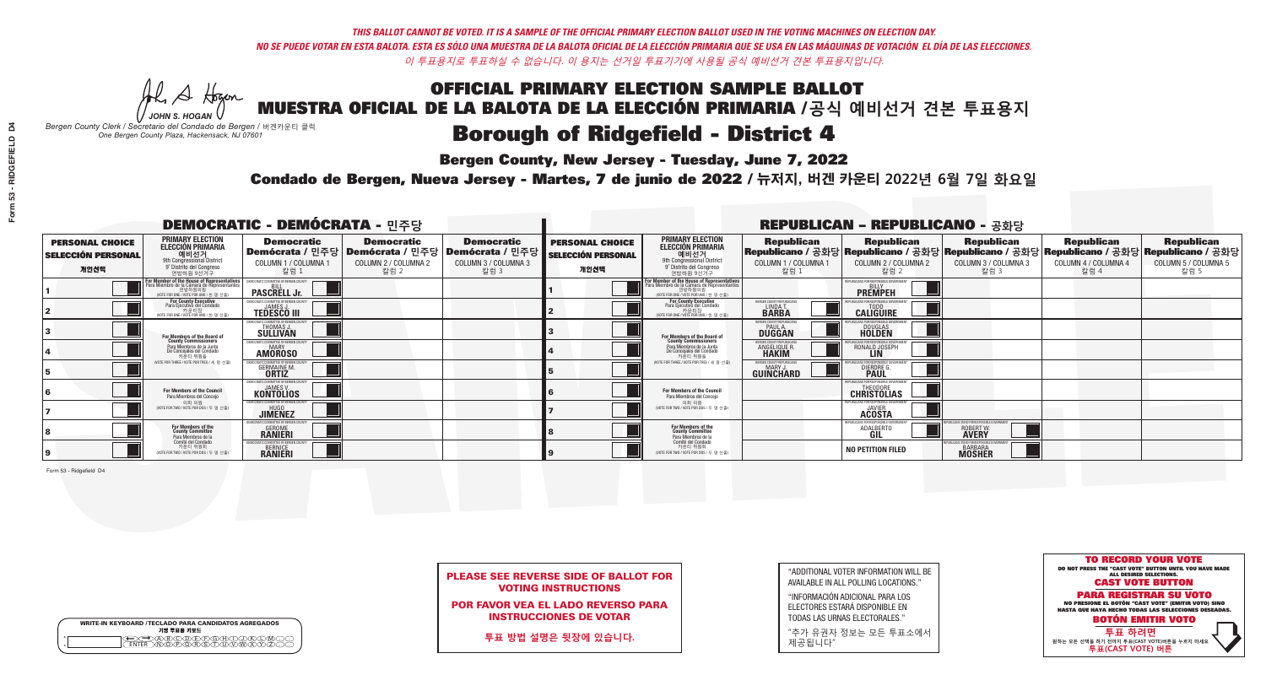A Hogen

**Bergen County, New Jersey - Tuesday, June 7, 2022** 

| <b>WRITE-IN KEYBOARD /TECLADO PARA CANDIDATOS AGREGADOS</b><br>기명 투표용 키보드 |  |
|---------------------------------------------------------------------------|--|
| VBCODE/F/G/F/D/<br><b>DÕÃÃÃÃ</b>                                          |  |

*JOHN S. HOGAN Bergen County Clerk / Secretario del Condado de Bergen /* 버겐카운티 클럭 *One Bergen County Plaza, Hackensack, NJ 07601*

Condado de Bergen, Nueva Jersey - Martes, 7 de junio de 2022 / 뉴저지, 버겐 카운티 2022년 6월 7일 화요일 *One Bergen County Plaza, Hackensack, NJ 07601*



PLEASE SEE REVERSE SIDE OF BALLOT FOR VOTING INSTRUCTIONS

POR FAVOR VEA EL LADO REVERSO PARA INSTRUCCIONES DE VOTAR

**투표 방법 설명은 뒷장에 있습니다.**

"ADDITIONAL VOTER INFORMATION WILL BE AVAILABLE IN ALL POLLING LOCATIONS."

"INFORMACIÓN ADICIONAL PARA LOS ELECTORES ESTARÁ DISPONIBLE EN TODAS LAS URNAS ELECTORALES."

"추가 유권자 정보는 모든 투표소에서 제공됩니다"

|                                                             |                                                                                                                                                      | <b>DEMOCRATIC - DEMÓCRATA - 민주당</b>                                                   |                                                   |                                                                          |                                                             | <b>REPUBLICAN - REPUBLICANO - 공화당</b>                                                                                                        |                                                           |                                                        |                                                                                                                                                |                                                   |                                                   |
|-------------------------------------------------------------|------------------------------------------------------------------------------------------------------------------------------------------------------|---------------------------------------------------------------------------------------|---------------------------------------------------|--------------------------------------------------------------------------|-------------------------------------------------------------|----------------------------------------------------------------------------------------------------------------------------------------------|-----------------------------------------------------------|--------------------------------------------------------|------------------------------------------------------------------------------------------------------------------------------------------------|---------------------------------------------------|---------------------------------------------------|
| <b>PERSONAL CHOICE</b><br><b>SELECCIÓN PERSONAL</b><br>개인선택 | <b>PRIMARY ELECTION</b><br><b>ELECCIÓN PRIMARIA</b><br>예비선거<br>애 employee http://www.assis<br>9° Distrito del Congreso<br>연방하원 9선거구                  | <b>Democratic</b><br>│Demócrata / 민주당│Demócrata / 민주당<br>COLUMN 1 / COLUMNA 1<br>칼럼 1 | <b>Democratic</b><br>COLUMN 2 / COLUMNA 2<br>칼럼 2 | <b>Democratic</b><br>; Demócrata / 민주당 /<br>COLUMN 3 / COLUMNA 3<br>칼럼 3 | <b>PERSONAL CHOICE</b><br><b>SELECCIÓN PERSONAL</b><br>개인선택 | <b>PRIMARY ELECTION</b><br>ELECCIÓN PRIMARIA<br>9th Congressional District<br>9° Distrito del Congreso<br>연방하원 9선거구                          | <b>Republican</b><br>COLUMN 1 / COLUMNA 1<br>칼럼 1         | <b>Republican</b><br>COLUMN 2 / COLUMNA 2<br>칼럼 2      | <b>Republican</b><br>Republicano / 공화당 Republicano / 공화당 Republicano / 공화당 Republicano / 공화당 Republicano / 공화당<br>COLUMN 3 / COLUMNA 3<br>칼럼 3 | <b>Republican</b><br>COLUMN 4 / COLUMNA 4<br>칼럼 4 | <b>Republican</b><br>COLUMN 5 / COLUMNA 5<br>칼럼 5 |
|                                                             | <b>For Member of the House of Representatives</b><br>Para Miembro de la Cámara de Representantes<br>연방하원의원<br>(VOTE FOR ONE / VOTE POR UNO / 한 명 선출) | DEMOCRATIC COMMITTEE OF BERGEN COUNT<br><b>PASCRELL Jr.</b>                           |                                                   |                                                                          |                                                             | For Member of the House of Representatives<br>Para Miembro de la Cámara de Representantes<br>연방하원의원<br>(VOTE FOR ONE / VOTE POR UNO / 한 명 선출 |                                                           | EPUBLICANS FOR RESPONSIBLE GOVERNMEN<br><b>PREMPEH</b> |                                                                                                                                                |                                                   |                                                   |
|                                                             | <b>For County Executive</b><br>Para Ejecutivo del Condado<br>7 카운티장<br>(VOTE FOR ONE / VOTE POR UNO / 한 명 선출)                                        | DEMOCRATIC COMMITTEE OF BERGEN COUNTY<br><b>TEDESCO III</b>                           |                                                   |                                                                          |                                                             | For County Executive<br>Para Ejecutivo del Condado<br>, 카운티장<br>(VOTE FOR ONE / VOTE POR UNO / 한 명 선출                                        | BERGEN COUNTY REPUBLICANS<br>LINDAT.                      | <b>CALIGUIRE</b>                                       |                                                                                                                                                |                                                   |                                                   |
|                                                             | For Members of the Board of<br>County Commissioners                                                                                                  | MOCRATIC COMMITTEE OF BERGEN COUN<br><b>THOMAS J.</b><br><b>SULLIVAN</b>              |                                                   |                                                                          |                                                             | For Members of the Board of<br>County Commissioners                                                                                          | RGEN COUNTY REPUBLICAI<br><b>PAUL A.</b><br><b>DUGGAN</b> | <b>DOUGLAS</b>                                         |                                                                                                                                                |                                                   |                                                   |
|                                                             | Para Miembros de la Junta<br>De Concejales del Condado<br>카우티 위원들                                                                                    | MOCRATIC COMMITTEE OF BEBGEN COUNT<br><b>MARY</b><br><b>AMOROSO</b>                   |                                                   |                                                                          |                                                             | Para Miembros de la Junta<br>De Concejales del Condado<br>카운티 위원들                                                                            | <b>RGEN COUNTY REPUBLICAN</b><br><b>ANGELIQUE F</b>       | RONALD JOSEPH                                          |                                                                                                                                                |                                                   |                                                   |
|                                                             | NOTE FOR THREE / VOTE POR TRES / 세 명 선출)                                                                                                             | <b>GERMAINE M</b><br><b>ORTIZ</b>                                                     |                                                   |                                                                          |                                                             | NOTE FOR THREE / VOTE POR TRES / 세 명 선출                                                                                                      | ERGEN COUNTY REPUBLICAN:<br><b>GUINCHARD</b>              | DIERDRE                                                |                                                                                                                                                |                                                   |                                                   |
|                                                             | <b>For Members of the Council</b><br>Para Miembros del Conceio                                                                                       | <b>KONTOLIOS</b>                                                                      |                                                   |                                                                          |                                                             | <b>For Members of the Council</b><br>Para Miembros del Conceio                                                                               |                                                           | <b>CHRISTOLIAS</b>                                     |                                                                                                                                                |                                                   |                                                   |
|                                                             | 의회 의원<br>NOTE FOR TWO / VOTE POR DOS / 두 명 선출)                                                                                                       | EMOCRATIC COMMITTEE OF BERGEN COUNT<br><b>JIMENEZ</b>                                 |                                                   |                                                                          |                                                             | 의회 의원<br>WOTE FOR TWO / VOTE POR DOS / 두 명 선출)                                                                                               |                                                           | PUBLICANS FOR RESPONSIBLE GOVERNMEN<br><b>ACOSTA</b>   |                                                                                                                                                |                                                   |                                                   |
|                                                             | For Members of the<br>County Committee<br>Para Miembros de la<br>Comité del Condado                                                                  | 'RATIC COMMITTEE OF RERGEN COL<br><b>GEROME</b><br><b>RANIERI</b>                     |                                                   |                                                                          |                                                             | For Members of the<br>County Committee<br>Para Miembros de la<br>Comité del Condado                                                          |                                                           | UBI ICANS FOR RESPONSIBI E I<br>ADALBERTO              | ROBERT W.                                                                                                                                      |                                                   |                                                   |
|                                                             | 카운티 위원회<br>(VOTE FOR TWO / VOTE POR DOS / 두 명 선출)                                                                                                    | IC COMMITTEE OF BERGEN COUNT<br><b>BERNICE</b><br><b>RANIERI</b>                      |                                                   |                                                                          |                                                             | 카운티 위원회<br>VOTE FOR TWO / VOTE POR DOS / 두 명 선출)                                                                                             |                                                           | <b>NO PETITION FILED</b>                               | <b>BARBARA</b><br><b>MOSHER</b>                                                                                                                |                                                   |                                                   |